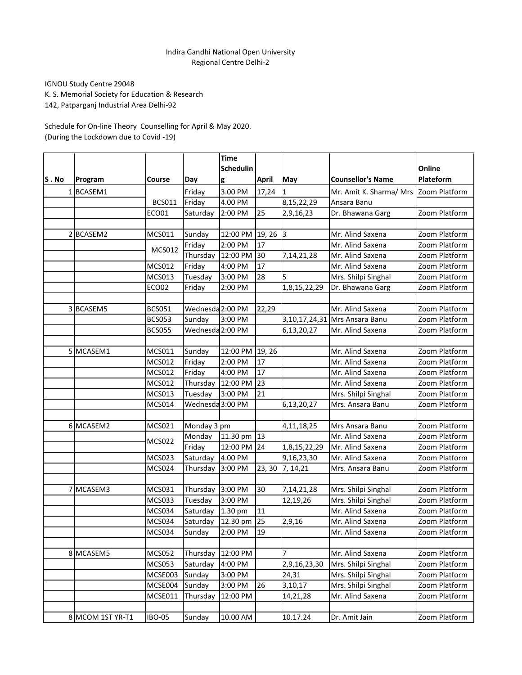## Indira Gandhi National Open University Regional Centre Delhi-2

IGNOU Study Centre 29048

K. S. Memorial Society for Education & Research

142, Patparganj Industrial Area Delhi-92

Schedule for On-line Theory Counselling for April & May 2020. (During the Lockdown due to Covid -19)

|      |                  |               |                  | <b>Time</b> |                 |               |                               |               |
|------|------------------|---------------|------------------|-------------|-----------------|---------------|-------------------------------|---------------|
|      |                  |               |                  | Schedulin   |                 |               |                               | Online        |
| S.No | Program          | Course        | Day              | g           | <b>April</b>    | May           | <b>Counsellor's Name</b>      | Plateform     |
|      | 1BCASEM1         |               | Friday           | 3.00 PM     | 17,24           | $\mathbf{1}$  | Mr. Amit K. Sharma/ Mrs       | Zoom Platform |
|      |                  | <b>BCS011</b> | Friday           | 4.00 PM     |                 | 8,15,22,29    | Ansara Banu                   |               |
|      |                  | ECO01         | Saturday         | 2:00 PM     | 25              | 2,9,16,23     | Dr. Bhawana Garg              | Zoom Platform |
|      |                  |               |                  |             |                 |               |                               |               |
|      | 2 BCASEM2        | MCS011        | Sunday           | 12:00 PM    | $19, 26$ 3      |               | Mr. Alind Saxena              | Zoom Platform |
|      |                  | <b>MCS012</b> | Friday           | 2:00 PM     | 17              |               | Mr. Alind Saxena              | Zoom Platform |
|      |                  |               | Thursday         | 12:00 PM    | 30              | 7,14,21,28    | Mr. Alind Saxena              | Zoom Platform |
|      |                  | <b>MCS012</b> | Friday           | 4:00 PM     | $\overline{17}$ |               | Mr. Alind Saxena              | Zoom Platform |
|      |                  | MCS013        | Tuesday          | 3:00 PM     | 28              | 5             | Mrs. Shilpi Singhal           | Zoom Platform |
|      |                  | ECO02         | Friday           | 2:00 PM     |                 | 1,8,15,22,29  | Dr. Bhawana Garg              | Zoom Platform |
|      |                  |               |                  |             |                 |               |                               |               |
|      | 3 BCASEM5        | <b>BCS051</b> | Wednesda 2:00 PM |             | 22,29           |               | Mr. Alind Saxena              | Zoom Platform |
|      |                  | <b>BCS053</b> | Sunday           | 3:00 PM     |                 |               | 3,10,17,24,31 Mrs Ansara Banu | Zoom Platform |
|      |                  | <b>BCS055</b> | Wednesda 2:00 PM |             |                 | 6,13,20,27    | Mr. Alind Saxena              | Zoom Platform |
|      |                  |               |                  |             |                 |               |                               |               |
|      | 5 MCASEM1        | MCS011        | Sunday           | 12:00 PM    | 19, 26          |               | Mr. Alind Saxena              | Zoom Platform |
|      |                  | MCS012        | Friday           | 2:00 PM     | 17              |               | Mr. Alind Saxena              | Zoom Platform |
|      |                  | <b>MCS012</b> | Friday           | 4:00 PM     | $\overline{17}$ |               | Mr. Alind Saxena              | Zoom Platform |
|      |                  | MCS012        | Thursday         | 12:00 PM    | 23              |               | Mr. Alind Saxena              | Zoom Platform |
|      |                  | MCS013        | Tuesday          | 3:00 PM     | 21              |               | Mrs. Shilpi Singhal           | Zoom Platform |
|      |                  | <b>MCS014</b> | Wednesda 3:00 PM |             |                 | 6,13,20,27    | Mrs. Ansara Banu              | Zoom Platform |
|      |                  |               |                  |             |                 |               |                               |               |
|      | 6 MCASEM2        | MCS021        | Monday 3 pm      |             |                 | 4,11,18,25    | Mrs Ansara Banu               | Zoom Platform |
|      |                  | <b>MCS022</b> | Monday           | 11.30 pm    | 13              |               | Mr. Alind Saxena              | Zoom Platform |
|      |                  |               | Friday           | 12:00 PM    | 24              | 1,8,15,22,29  | Mr. Alind Saxena              | Zoom Platform |
|      |                  | <b>MCS023</b> | Saturday         | 4.00 PM     |                 | 9,16,23,30    | Mr. Alind Saxena              | Zoom Platform |
|      |                  | MCS024        | Thursday         | 3:00 PM     | 23, 30          | 7, 14, 21     | Mrs. Ansara Banu              | Zoom Platform |
|      |                  |               |                  |             |                 |               |                               |               |
|      | 7 MCASEM3        | MCS031        | Thursday         | 3:00 PM     | 30              | 7, 14, 21, 28 | Mrs. Shilpi Singhal           | Zoom Platform |
|      |                  | <b>MCS033</b> | Tuesday          | 3:00 PM     |                 | 12,19,26      | Mrs. Shilpi Singhal           | Zoom Platform |
|      |                  | <b>MCS034</b> | Saturday         | 1.30 pm     | 11              |               | Mr. Alind Saxena              | Zoom Platform |
|      |                  | <b>MCS034</b> | Saturday         | 12.30 pm    | 25              | 2,9,16        | Mr. Alind Saxena              | Zoom Platform |
|      |                  | MCS034        | Sunday           | 2:00 PM     | $ 19\rangle$    |               | Mr. Alind Saxena              | Zoom Platform |
|      |                  |               |                  |             |                 |               |                               |               |
|      | 8 MCASEM5        | <b>MCS052</b> | Thursday         | 12:00 PM    |                 | 7             | Mr. Alind Saxena              | Zoom Platform |
|      |                  | <b>MCS053</b> | Saturday         | 4:00 PM     |                 | 2,9,16,23,30  | Mrs. Shilpi Singhal           | Zoom Platform |
|      |                  | MCSE003       | Sunday           | 3:00 PM     |                 | 24,31         | Mrs. Shilpi Singhal           | Zoom Platform |
|      |                  | MCSE004       | Sunday           | 3:00 PM     | 26              | 3,10,17       | Mrs. Shilpi Singhal           | Zoom Platform |
|      |                  | MCSE011       | Thursday         | 12:00 PM    |                 | 14,21,28      | Mr. Alind Saxena              | Zoom Platform |
|      |                  |               |                  |             |                 |               |                               |               |
|      | 8 MCOM 1ST YR-T1 | <b>IBO-05</b> | Sunday           | 10.00 AM    |                 | 10.17.24      | Dr. Amit Jain                 | Zoom Platform |